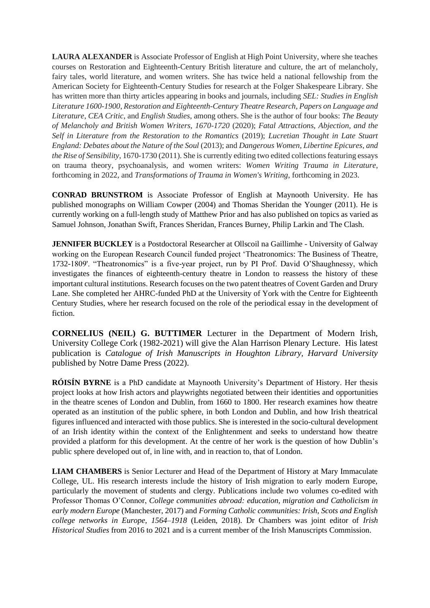**LAURA ALEXANDER** is Associate Professor of English at High Point University, where she teaches courses on Restoration and Eighteenth-Century British literature and culture, the art of melancholy, fairy tales, world literature, and women writers. She has twice held a national fellowship from the American Society for Eighteenth-Century Studies for research at the Folger Shakespeare Library. She has written more than thirty articles appearing in books and journals, including *SEL: Studies in English Literature 1600-1900*, *Restoration and Eighteenth-Century Theatre Research*, *Papers on Language and Literature*, *CEA Critic*, and *English Studies*, among others. She is the author of four books: *The Beauty of Melancholy and British Women Writers, 1670-1720* (2020); *Fatal Attractions, Abjection, and the Self in Literature from the Restoration to the Romantics* (2019); *Lucretian Thought in Late Stuart England: Debates about the Nature of the Soul* (2013); and *Dangerous Women, Libertine Epicures, and the Rise of Sensibility*, 1670-1730 (2011). She is currently editing two edited collections featuring essays on trauma theory, psychoanalysis, and women writers: *Women Writing Trauma in Literature*, forthcoming in 2022, and *Transformations of Trauma in Women's Writing*, forthcoming in 2023.

**CONRAD BRUNSTROM** is Associate Professor of English at Maynooth University. He has published monographs on William Cowper (2004) and Thomas Sheridan the Younger (2011). He is currently working on a full-length study of Matthew Prior and has also published on topics as varied as Samuel Johnson, Jonathan Swift, Frances Sheridan, Frances Burney, Philip Larkin and The Clash.

**JENNIFER BUCKLEY** is a Postdoctoral Researcher at Ollscoil na Gaillimhe - University of Galway working on the European Research Council funded project 'Theatronomics: The Business of Theatre, 1732-1809'. "Theatronomics" is a five-year project, run by PI Prof. David O'Shaughnessy, which investigates the finances of eighteenth-century theatre in London to reassess the history of these important cultural institutions. Research focuses on the two patent theatres of Covent Garden and Drury Lane. She completed her AHRC-funded PhD at the University of York with the Centre for Eighteenth Century Studies, where her research focused on the role of the periodical essay in the development of fiction.

**CORNELIUS (NEIL) G. BUTTIMER** Lecturer in the Department of Modern Irish, University College Cork (1982-2021) will give the Alan Harrison Plenary Lecture. His latest publication is *Catalogue of Irish Manuscripts in Houghton Library, Harvard University* published by Notre Dame Press (2022).

**RÓISÍN BYRNE** is a PhD candidate at Maynooth University's Department of History. Her thesis project looks at how Irish actors and playwrights negotiated between their identities and opportunities in the theatre scenes of London and Dublin, from 1660 to 1800. Her research examines how theatre operated as an institution of the public sphere, in both London and Dublin, and how Irish theatrical figures influenced and interacted with those publics. She is interested in the socio-cultural development of an Irish identity within the context of the Enlightenment and seeks to understand how theatre provided a platform for this development. At the centre of her work is the question of how Dublin's public sphere developed out of, in line with, and in reaction to, that of London.

**LIAM CHAMBERS** is Senior Lecturer and Head of the Department of History at Mary Immaculate College, UL. His research interests include the history of Irish migration to early modern Europe, particularly the movement of students and clergy. Publications include two volumes co-edited with Professor Thomas O'Connor, *College communities abroad: education, migration and Catholicism in early modern Europe* (Manchester, 2017) and *Forming Catholic communities: Irish, Scots and English college networks in Europe, 1564–1918* (Leiden, 2018). Dr Chambers was joint editor of *Irish Historical Studies* from 2016 to 2021 and is a current member of the Irish Manuscripts Commission.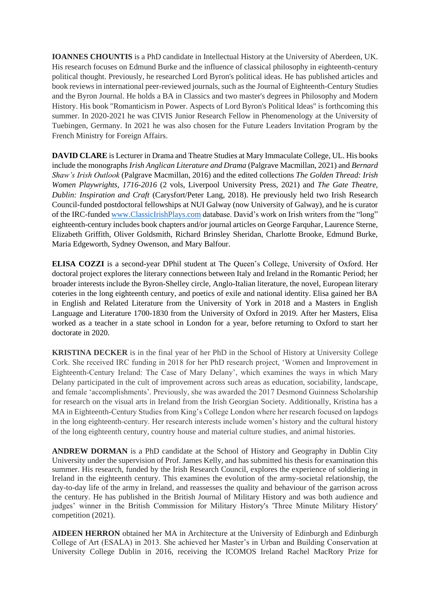**IOANNES CHOUNTIS** is a PhD candidate in Intellectual History at the University of Aberdeen, UK. His research focuses on Edmund Burke and the influence of classical philosophy in eighteenth-century political thought. Previously, he researched Lord Byron's political ideas. He has published articles and book reviews in international peer-reviewed journals, such as the Journal of Eighteenth-Century Studies and the Byron Journal. He holds a BA in Classics and two master's degrees in Philosophy and Modern History. His book "Romanticism in Power. Aspects of Lord Byron's Political Ideas" is forthcoming this summer. In 2020-2021 he was CIVIS Junior Research Fellow in Phenomenology at the University of Tuebingen, Germany. In 2021 he was also chosen for the Future Leaders Invitation Program by the French Ministry for Foreign Affairs.

**DAVID CLARE** is Lecturer in Drama and Theatre Studies at Mary Immaculate College, UL. His books include the monographs *Irish Anglican Literature and Drama* (Palgrave Macmillan, 2021) and *Bernard Shaw's Irish Outlook* (Palgrave Macmillan, 2016) and the edited collections *The Golden Thread: Irish Women Playwrights, 1716-2016* (2 vols, Liverpool University Press, 2021) and *The Gate Theatre, Dublin: Inspiration and Craft* (Carysfort/Peter Lang, 2018). He previously held two Irish Research Council-funded postdoctoral fellowships at NUI Galway (now University of Galway), and he is curator of the IRC-funded www.ClassicIrishPlays.com database. David's work on Irish writers from the "long" eighteenth-century includes book chapters and/or journal articles on George Farquhar, Laurence Sterne, Elizabeth Griffith, Oliver Goldsmith, Richard Brinsley Sheridan, Charlotte Brooke, Edmund Burke, Maria Edgeworth, Sydney Owenson, and Mary Balfour.

**ELISA COZZI** is a second-year DPhil student at The Queen's College, University of Oxford. Her doctoral project explores the literary connections between Italy and Ireland in the Romantic Period; her broader interests include the Byron-Shelley circle, Anglo-Italian literature, the novel, European literary coteries in the long eighteenth century, and poetics of exile and national identity. Elisa gained her BA in English and Related Literature from the University of York in 2018 and a Masters in English Language and Literature 1700-1830 from the University of Oxford in 2019. After her Masters, Elisa worked as a teacher in a state school in London for a year, before returning to Oxford to start her doctorate in 2020.

**KRISTINA DECKER** is in the final year of her PhD in the School of History at University College Cork. She received IRC funding in 2018 for her PhD research project, 'Women and Improvement in Eighteenth-Century Ireland: The Case of Mary Delany', which examines the ways in which Mary Delany participated in the cult of improvement across such areas as education, sociability, landscape, and female 'accomplishments'. Previously, she was awarded the 2017 Desmond Guinness Scholarship for research on the visual arts in Ireland from the Irish Georgian Society. Additionally, Kristina has a MA in Eighteenth-Century Studies from King's College London where her research focused on lapdogs in the long eighteenth-century. Her research interests include women's history and the cultural history of the long eighteenth century, country house and material culture studies, and animal histories.

**ANDREW DORMAN** is a PhD candidate at the School of History and Geography in Dublin City University under the supervision of Prof. James Kelly, and has submitted his thesis for examination this summer. His research, funded by the Irish Research Council, explores the experience of soldiering in Ireland in the eighteenth century. This examines the evolution of the army-societal relationship, the day-to-day life of the army in Ireland, and reassesses the quality and behaviour of the garrison across the century. He has published in the British Journal of Military History and was both audience and judges' winner in the British Commission for Military History's 'Three Minute Military History' competition (2021).

**AIDEEN HERRON** obtained her MA in Architecture at the University of Edinburgh and Edinburgh College of Art (ESALA) in 2013. She achieved her Master's in Urban and Building Conservation at University College Dublin in 2016, receiving the ICOMOS Ireland Rachel MacRory Prize for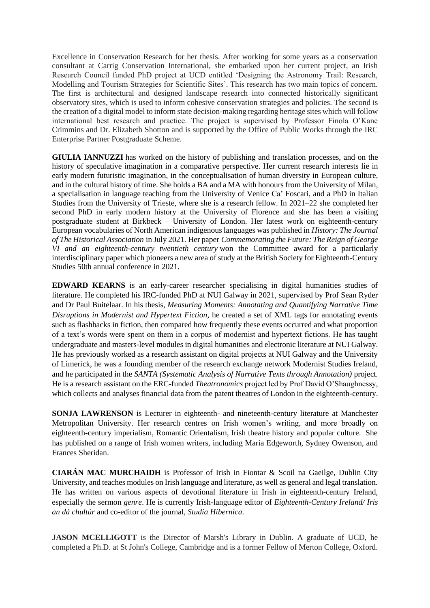Excellence in Conservation Research for her thesis. After working for some years as a conservation consultant at Carrig Conservation International, she embarked upon her current project, an Irish Research Council funded PhD project at UCD entitled 'Designing the Astronomy Trail: Research, Modelling and Tourism Strategies for Scientific Sites'. This research has two main topics of concern. The first is architectural and designed landscape research into connected historically significant observatory sites, which is used to inform cohesive conservation strategies and policies. The second is the creation of a digital model to inform state decision-making regarding heritage sites which will follow international best research and practice. The project is supervised by Professor Finola O'Kane Crimmins and Dr. Elizabeth Shotton and is supported by the Office of Public Works through the IRC Enterprise Partner Postgraduate Scheme.

**GIULIA IANNUZZI** has worked on the history of publishing and translation processes, and on the history of speculative imagination in a comparative perspective. Her current research interests lie in early modern futuristic imagination, in the conceptualisation of human diversity in European culture, and in the cultural history of time. She holds a BA and a MA with honours from the University of Milan, a specialisation in language teaching from the University of Venice Ca' Foscari, and a PhD in Italian Studies from the University of Trieste, where she is a research fellow. In 2021–22 she completed her second PhD in early modern history at the University of Florence and she has been a visiting postgraduate student at Birkbeck – University of London. Her latest work on eighteenth-century European vocabularies of North American indigenous languages was published in *History: The Journal of The Historical Association* in July 2021. Her paper *Commemorating the Future: The Reign of George VI and an eighteenth-century twentieth century* won the Committee award for a particularly interdisciplinary paper which pioneers a new area of study at the British Society for Eighteenth-Century Studies 50th annual conference in 2021.

**EDWARD KEARNS** is an early-career researcher specialising in digital humanities studies of literature. He completed his IRC-funded PhD at NUI Galway in 2021, supervised by Prof Sean Ryder and Dr Paul Buitelaar. In his thesis, *Measuring Moments: Annotating and Quantifying Narrative Time Disruptions in Modernist and Hypertext Fiction,* he created a set of XML tags for annotating events such as flashbacks in fiction, then compared how frequently these events occurred and what proportion of a text's words were spent on them in a corpus of modernist and hypertext fictions. He has taught undergraduate and masters-level modules in digital humanities and electronic literature at NUI Galway. He has previously worked as a research assistant on digital projects at NUI Galway and the University of Limerick, he was a founding member of the research exchange network Modernist Studies Ireland, and he participated in the *SANTA (Systematic Analysis of Narrative Texts through Annotation)* project*.* He is a research assistant on the ERC-funded *Theatronomics* project led by Prof David O'Shaughnessy, which collects and analyses financial data from the patent theatres of London in the eighteenth-century.

**SONJA LAWRENSON** is Lecturer in eighteenth- and nineteenth-century literature at Manchester Metropolitan University. Her research centres on Irish women's writing, and more broadly on eighteenth-century imperialism, Romantic Orientalism, Irish theatre history and popular culture. She has published on a range of Irish women writers, including Maria Edgeworth, Sydney Owenson, and Frances Sheridan.

**CIARÁN MAC MURCHAIDH** is Professor of Irish in Fiontar & Scoil na Gaeilge, Dublin City University, and teaches modules on Irish language and literature, as well as general and legal translation. He has written on various aspects of devotional literature in Irish in eighteenth-century Ireland, especially the sermon *genre*. He is currently Irish-language editor of *Eighteenth-Century Ireland/ Iris an dá chultúr* and co-editor of the journal, *Studia Hibernica*.

**JASON MCELLIGOTT** is the Director of Marsh's Library in Dublin. A graduate of UCD, he completed a Ph.D. at St John's College, Cambridge and is a former Fellow of Merton College, Oxford.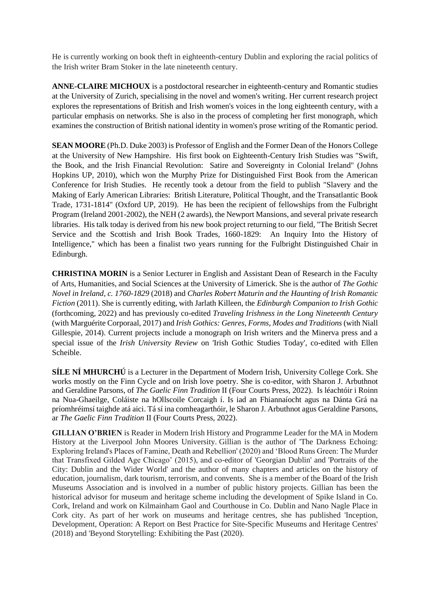He is currently working on book theft in eighteenth-century Dublin and exploring the racial politics of the Irish writer Bram Stoker in the late nineteenth century.

**ANNE-CLAIRE MICHOUX** is a postdoctoral researcher in eighteenth-century and Romantic studies at the University of Zurich, specialising in the novel and women's writing. Her current research project explores the representations of British and Irish women's voices in the long eighteenth century, with a particular emphasis on networks. She is also in the process of completing her first monograph, which examines the construction of British national identity in women's prose writing of the Romantic period.

**SEAN MOORE** (Ph.D. Duke 2003) is Professor of English and the Former Dean of the Honors College at the University of New Hampshire. His first book on Eighteenth-Century Irish Studies was "Swift, the Book, and the Irish Financial Revolution: Satire and Sovereignty in Colonial Ireland" (Johns Hopkins UP, 2010), which won the Murphy Prize for Distinguished First Book from the American Conference for Irish Studies. He recently took a detour from the field to publish "Slavery and the Making of Early American Libraries: British Literature, Political Thought, and the Transatlantic Book Trade, 1731-1814" (Oxford UP, 2019). He has been the recipient of fellowships from the Fulbright Program (Ireland 2001-2002), the NEH (2 awards), the Newport Mansions, and several private research libraries. His talk today is derived from his new book project returning to our field, "The British Secret Service and the Scottish and Irish Book Trades, 1660-1829: An Inquiry Into the History of Intelligence," which has been a finalist two years running for the Fulbright Distinguished Chair in Edinburgh.

**CHRISTINA MORIN** is a Senior Lecturer in English and Assistant Dean of Research in the Faculty of Arts, Humanities, and Social Sciences at the University of Limerick. She is the author of *The Gothic Novel in Ireland, c. 1760-1829* (2018) and *Charles Robert Maturin and the Haunting of Irish Romantic Fiction* (2011). She is currently editing, with Jarlath Killeen, the *Edinburgh Companion to Irish Gothic* (forthcoming, 2022) and has previously co-edited *Traveling Irishness in the Long Nineteenth Century* (with Marguérite Corporaal, 2017) and *Irish Gothics: Genres, Forms, Modes and Traditions* (with Niall Gillespie, 2014). Current projects include a monograph on Irish writers and the Minerva press and a special issue of the *Irish University Review* on 'Irish Gothic Studies Today', co-edited with Ellen Scheible.

**SÍLE NÍ MHURCHÚ** is a Lecturer in the Department of Modern Irish, University College Cork. She works mostly on the Finn Cycle and on Irish love poetry. She is co-editor, with Sharon J. Arbuthnot and Geraldine Parsons, of *The Gaelic Finn Tradition* II (Four Courts Press, 2022). Is léachtóir i Roinn na Nua-Ghaeilge, Coláiste na hOllscoile Corcaigh í. Is iad an Fhiannaíocht agus na Dánta Grá na príomhréimsí taighde atá aici. Tá sí ina comheagarthóir, le Sharon J. Arbuthnot agus Geraldine Parsons, ar *The Gaelic Finn Tradition* II (Four Courts Press, 2022).

**GILLIAN O'BRIEN** is Reader in Modern Irish History and Programme Leader for the MA in Modern History at the Liverpool John Moores University. Gillian is the author of 'The Darkness Echoing: Exploring Ireland's Places of Famine, Death and Rebellion' (2020) and 'Blood Runs Green: The Murder that Transfixed Gilded Age Chicago' (2015), and co-editor of 'Georgian Dublin' and 'Portraits of the City: Dublin and the Wider World' and the author of many chapters and articles on the history of education, journalism, dark tourism, terrorism, and convents. She is a member of the Board of the Irish Museums Association and is involved in a number of public history projects. Gillian has been the historical advisor for museum and heritage scheme including the development of Spike Island in Co. Cork, Ireland and work on Kilmainham Gaol and Courthouse in Co. Dublin and Nano Nagle Place in Cork city. As part of her work on museums and heritage centres, she has published 'Inception, Development, Operation: A Report on Best Practice for Site-Specific Museums and Heritage Centres' (2018) and 'Beyond Storytelling: Exhibiting the Past (2020).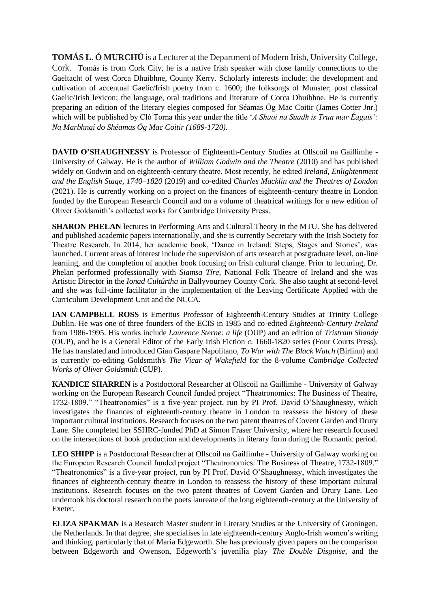**TOMÁS L. Ó MURCHÚ** is a Lecturer at the Department of Modern Irish, University College, Cork. Tomás is from Cork City, he is a native Irish speaker with close family connections to the Gaeltacht of west Corca Dhuibhne, County Kerry. Scholarly interests include: the development and cultivation of accentual Gaelic/Irish poetry from c. 1600; the folksongs of Munster; post classical Gaelic/Irish lexicon; the language, oral traditions and literature of Corca Dhuibhne. He is currently preparing an edition of the literary elegies composed for Séamas Óg Mac Coitir (James Cotter Jnr.) which will be published by Cló Torna this year under the title '*A Shaoi na Suadh is Trua mar Éagais': Na Marbhnaí do Shéamas Óg Mac Coitir (1689-1720)*.

**DAVID O'SHAUGHNESSY** is Professor of Eighteenth-Century Studies at Ollscoil na Gaillimhe - University of Galway. He is the author of *William Godwin and the Theatre* (2010) and has published widely on Godwin and on eighteenth-century theatre. Most recently, he edited *Ireland, Enlightenment and the English Stage, 1740–1820* (2019) and co-edited *Charles Macklin and the Theatres of London*  (2021). He is currently working on a project on the finances of eighteenth-century theatre in London funded by the European Research Council and on a volume of theatrical writings for a new edition of Oliver Goldsmith's collected works for Cambridge University Press.

**SHARON PHELAN** lectures in Performing Arts and Cultural Theory in the MTU. She has delivered and published academic papers internationally, and she is currently Secretary with the Irish Society for Theatre Research. In 2014, her academic book, 'Dance in Ireland: Steps, Stages and Stories', was launched. Current areas of interest include the supervision of arts research at postgraduate level, on-line learning, and the completion of another book focusing on Irish cultural change. Prior to lecturing, Dr. Phelan performed professionally with *Siamsa Tíre*, National Folk Theatre of Ireland and she was Artistic Director in the *Ionad Cultúrtha* in Ballyvourney County Cork. She also taught at second-level and she was full-time facilitator in the implementation of the Leaving Certificate Applied with the Curriculum Development Unit and the NCCA.

**IAN CAMPBELL ROSS** is Emeritus Professor of Eighteenth-Century Studies at Trinity College Dublin. He was one of three founders of the ECIS in 1985 and co-edited *Eighteenth-Century Ireland* from 1986-1995. His works include *Laurence Sterne: a life* (OUP) and an edition of *Tristram Shandy* (OUP), and he is a General Editor of the Early Irish Fiction *c.* 1660-1820 series (Four Courts Press). He has translated and introduced Gian Gaspare Napolitano, *To War with The Black Watch* (Birlinn) and is currently co-editing Goldsmith's *The Vicar of Wakefield* for the 8-volume *Cambridge Collected Works of Oliver Goldsmith* (CUP).

**KANDICE SHARREN** is a Postdoctoral Researcher at Ollscoil na Gaillimhe - University of Galway working on the European Research Council funded project "Theatronomics: The Business of Theatre, 1732-1809." "Theatronomics" is a five-year project, run by PI Prof. David O'Shaughnessy, which investigates the finances of eighteenth-century theatre in London to reassess the history of these important cultural institutions. Research focuses on the two patent theatres of Covent Garden and Drury Lane. She completed her SSHRC-funded PhD at Simon Fraser University, where her research focused on the intersections of book production and developments in literary form during the Romantic period.

LEO SHIPP is a Postdoctoral Researcher at Ollscoil na Gaillimhe - University of Galway working on the European Research Council funded project "Theatronomics: The Business of Theatre, 1732-1809." "Theatronomics" is a five-year project, run by PI Prof. David O'Shaughnessy, which investigates the finances of eighteenth-century theatre in London to reassess the history of these important cultural institutions. Research focuses on the two patent theatres of Covent Garden and Drury Lane. Leo undertook his doctoral research on the poets laureate of the long eighteenth-century at the University of Exeter.

**ELIZA SPAKMAN** is a Research Master student in Literary Studies at the University of Groningen, the Netherlands. In that degree, she specialises in late eighteenth-century Anglo-Irish women's writing and thinking, particularly that of Maria Edgeworth. She has previously given papers on the comparison between Edgeworth and Owenson, Edgeworth's juvenilia play *The Double Disguise*, and the